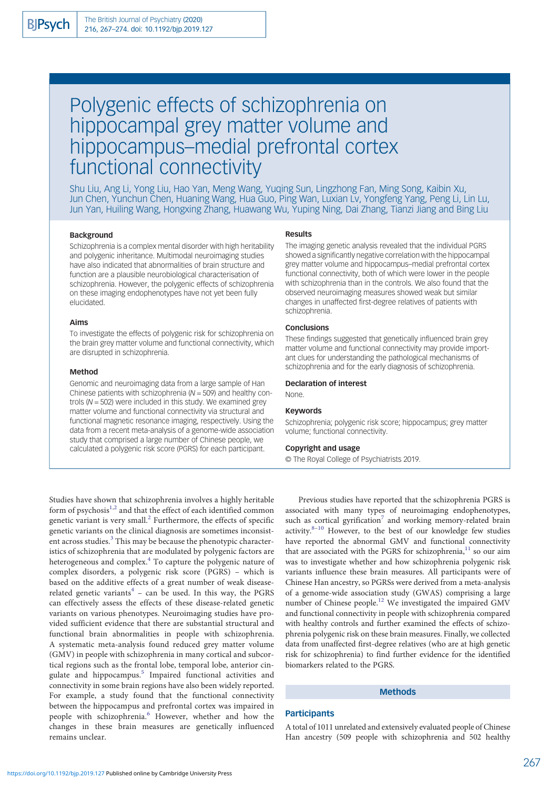# Polygenic effects of schizophrenia on hippocampal grey matter volume and hippocampus–medial prefrontal cortex functional connectivity

Shu Liu, Ang Li, Yong Liu, Hao Yan, Meng Wang, Yuqing Sun, Lingzhong Fan, Ming Song, Kaibin Xu, Jun Chen, Yunchun Chen, Huaning Wang, Hua Guo, Ping Wan, Luxian Lv, Yongfeng Yang, Peng Li, Lin Lu, Jun Yan, Huiling Wang, Hongxing Zhang, Huawang Wu, Yuping Ning, Dai Zhang, Tianzi Jiang and Bing Liu

### Background

Schizophrenia is a complex mental disorder with high heritability and polygenic inheritance. Multimodal neuroimaging studies have also indicated that abnormalities of brain structure and function are a plausible neurobiological characterisation of schizophrenia. However, the polygenic effects of schizophrenia on these imaging endophenotypes have not yet been fully elucidated.

### Aims

To investigate the effects of polygenic risk for schizophrenia on the brain grey matter volume and functional connectivity, which are disrupted in schizophrenia.

#### Method

Genomic and neuroimaging data from a large sample of Han Chinese patients with schizophrenia ( $N = 509$ ) and healthy controls ( $N = 502$ ) were included in this study. We examined grey matter volume and functional connectivity via structural and functional magnetic resonance imaging, respectively. Using the data from a recent meta-analysis of a genome-wide association study that comprised a large number of Chinese people, we calculated a polygenic risk score (PGRS) for each participant.

#### Results

The imaging genetic analysis revealed that the individual PGRS showed a significantly negative correlation with the hippocampal grey matter volume and hippocampus–medial prefrontal cortex functional connectivity, both of which were lower in the people with schizophrenia than in the controls. We also found that the observed neuroimaging measures showed weak but similar changes in unaffected first-degree relatives of patients with schizophrenia.

#### Conclusions

These findings suggested that genetically influenced brain grey matter volume and functional connectivity may provide important clues for understanding the pathological mechanisms of schizophrenia and for the early diagnosis of schizophrenia.

### Declaration of interest

None.

# Keywords

Schizophrenia; polygenic risk score; hippocampus; grey matter volume; functional connectivity.

#### Copyright and usage

© The Royal College of Psychiatrists 2019.

Studies have shown that schizophrenia involves a highly heritable form of psychosis<sup>[1](#page-6-0),[2](#page-6-0)</sup> and that the effect of each identified common genetic variant is very small. $<sup>2</sup>$  $<sup>2</sup>$  $<sup>2</sup>$  Furthermore, the effects of specific</sup> genetic variants on the clinical diagnosis are sometimes inconsist-ent across studies.<sup>[3](#page-6-0)</sup> This may be because the phenotypic characteristics of schizophrenia that are modulated by polygenic factors are heterogeneous and complex.<sup>[4](#page-6-0)</sup> To capture the polygenic nature of complex disorders, a polygenic risk score (PGRS) – which is based on the additive effects of a great number of weak diseaserelated genetic variants $4 - \text{can}$  $4 - \text{can}$  be used. In this way, the PGRS can effectively assess the effects of these disease-related genetic variants on various phenotypes. Neuroimaging studies have provided sufficient evidence that there are substantial structural and functional brain abnormalities in people with schizophrenia. A systematic meta-analysis found reduced grey matter volume (GMV) in people with schizophrenia in many cortical and subcortical regions such as the frontal lobe, temporal lobe, anterior cin-gulate and hippocampus.<sup>[5](#page-6-0)</sup> Impaired functional activities and connectivity in some brain regions have also been widely reported. For example, a study found that the functional connectivity between the hippocampus and prefrontal cortex was impaired in people with schizophrenia.[6](#page-6-0) However, whether and how the changes in these brain measures are genetically influenced remains unclear.

Previous studies have reported that the schizophrenia PGRS is associated with many types of neuroimaging endophenotypes, such as cortical gyrification<sup>[7](#page-6-0)</sup> and working memory-related brain activity.[8](#page-6-0)–[10](#page-6-0) However, to the best of our knowledge few studies have reported the abnormal GMV and functional connectivity that are associated with the PGRS for schizophrenia,<sup>[11](#page-6-0)</sup> so our aim was to investigate whether and how schizophrenia polygenic risk variants influence these brain measures. All participants were of Chinese Han ancestry, so PGRSs were derived from a meta-analysis of a genome-wide association study (GWAS) comprising a large number of Chinese people.<sup>[12](#page-6-0)</sup> We investigated the impaired GMV and functional connectivity in people with schizophrenia compared with healthy controls and further examined the effects of schizophrenia polygenic risk on these brain measures. Finally, we collected data from unaffected first-degree relatives (who are at high genetic risk for schizophrenia) to find further evidence for the identified biomarkers related to the PGRS.

# **Methods**

## **Participants**

A total of 1011 unrelated and extensively evaluated people of Chinese Han ancestry (509 people with schizophrenia and 502 healthy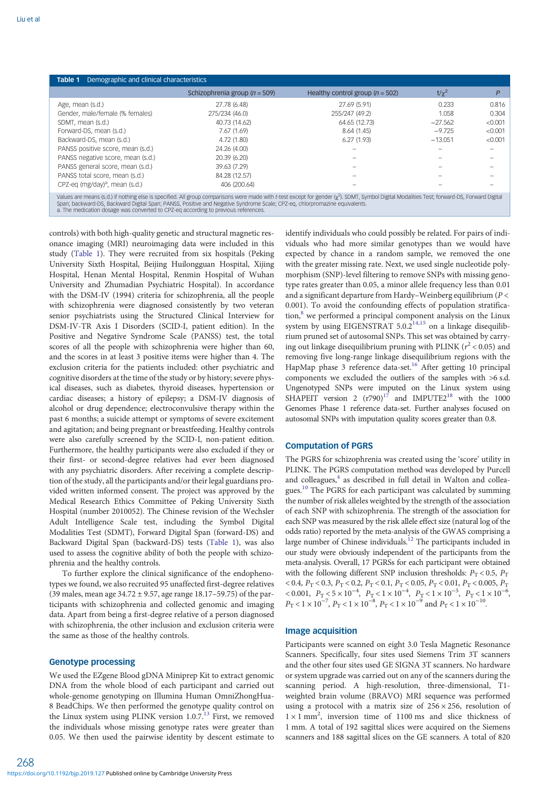<span id="page-1-0"></span>

| Demographic and clinical characteristics<br>Table 1                                                                                                                                                      |                                   |                                     |            |         |
|----------------------------------------------------------------------------------------------------------------------------------------------------------------------------------------------------------|-----------------------------------|-------------------------------------|------------|---------|
|                                                                                                                                                                                                          | Schizophrenia group ( $n = 509$ ) | Healthy control group ( $n = 502$ ) | $t/\chi^2$ |         |
| Age, mean (s.d.)                                                                                                                                                                                         | 27.78 (6.48)                      | 27.69 (5.91)                        | 0.233      | 0.816   |
| Gender, male/female (% females)                                                                                                                                                                          | 275/234 (46.0)                    | 255/247 (49.2)                      | 1.058      | 0.304   |
| SDMT, mean (s.d.)                                                                                                                                                                                        | 40.73 (14.62)                     | 64.65 (12.73)                       | $-27.562$  | < 0.001 |
| Forward-DS, mean (s.d.)                                                                                                                                                                                  | 7.67 (1.69)                       | 8.64 (1.45)                         | $-9.725$   | < 0.001 |
| Backward-DS, mean (s.d.)                                                                                                                                                                                 | 4.72 (1.80)                       | 6.27(1.93)                          | $-13.051$  | < 0.001 |
| PANSS positive score, mean (s.d.)                                                                                                                                                                        | 24.26 (4.00)                      |                                     |            |         |
| PANSS negative score, mean (s.d.)                                                                                                                                                                        | 20.39 (6.20)                      |                                     |            |         |
| PANSS general score, mean (s.d.)                                                                                                                                                                         | 39.63 (7.29)                      |                                     |            |         |
| PANSS total score, mean (s.d.)                                                                                                                                                                           | 84.28 (12.57)                     |                                     |            |         |
| CPZ-eg (mg/day) <sup>a</sup> , mean (s.d.)                                                                                                                                                               | 406 (200.64)                      |                                     |            |         |
| Values are means (s.d.) if nothing else is specified. All group comparisons were made with t-test except for gender (x <sup>2</sup> ). SDMT, Symbol Digital Modalities Test; forward-DS, Forward Digital |                                   |                                     |            |         |

Values are means (s.d.) if nothing else is specified. All group comparisons were made with *t-*test except for gender (x<sup>2</sup>). SDMT, Sy<br>Span; backward-DS, Backward Digital Span; PANSS, Positive and Negative Syndrome Scale;

controls) with both high-quality genetic and structural magnetic resonance imaging (MRI) neuroimaging data were included in this study (Table 1). They were recruited from six hospitals (Peking University Sixth Hospital, Beijing Huilongguan Hospital, Xijing Hospital, Henan Mental Hospital, Renmin Hospital of Wuhan University and Zhumadian Psychiatric Hospital). In accordance with the DSM-IV (1994) criteria for schizophrenia, all the people with schizophrenia were diagnosed consistently by two veteran senior psychiatrists using the Structured Clinical Interview for DSM-IV-TR Axis I Disorders (SCID-I, patient edition). In the Positive and Negative Syndrome Scale (PANSS) test, the total scores of all the people with schizophrenia were higher than 60, and the scores in at least 3 positive items were higher than 4. The exclusion criteria for the patients included: other psychiatric and cognitive disorders at the time of the study or by history; severe physical diseases, such as diabetes, thyroid diseases, hypertension or cardiac diseases; a history of epilepsy; a DSM-IV diagnosis of alcohol or drug dependence; electroconvulsive therapy within the past 6 months; a suicide attempt or symptoms of severe excitement and agitation; and being pregnant or breastfeeding. Healthy controls were also carefully screened by the SCID-I, non-patient edition. Furthermore, the healthy participants were also excluded if they or their first- or second-degree relatives had ever been diagnosed with any psychiatric disorders. After receiving a complete description of the study, all the participants and/or their legal guardians provided written informed consent. The project was approved by the Medical Research Ethics Committee of Peking University Sixth Hospital (number 2010052). The Chinese revision of the Wechsler Adult Intelligence Scale test, including the Symbol Digital Modalities Test (SDMT), Forward Digital Span (forward-DS) and Backward Digital Span (backward-DS) tests (Table 1), was also used to assess the cognitive ability of both the people with schizophrenia and the healthy controls.

To further explore the clinical significance of the endophenotypes we found, we also recruited 95 unaffected first-degree relatives (39 males, mean age 34.72 ± 9.57, age range 18.17–59.75) of the participants with schizophrenia and collected genomic and imaging data. Apart from being a first-degree relative of a person diagnosed with schizophrenia, the other inclusion and exclusion criteria were the same as those of the healthy controls.

# Genotype processing

We used the EZgene Blood gDNA Miniprep Kit to extract genomic DNA from the whole blood of each participant and carried out whole-genome genotyping on Illumina Human OmniZhongHua-8 BeadChips. We then performed the genotype quality control on the Linux system using PLINK version  $1.0.7$ .<sup>13</sup> First, we removed the individuals whose missing genotype rates were greater than 0.05. We then used the pairwise identity by descent estimate to identify individuals who could possibly be related. For pairs of individuals who had more similar genotypes than we would have expected by chance in a random sample, we removed the one with the greater missing rate. Next, we used single nucleotide polymorphism (SNP)-level filtering to remove SNPs with missing genotype rates greater than 0.05, a minor allele frequency less than 0.01 and a significant departure from Hardy–Weinberg equilibrium ( $P <$ 0.001). To avoid the confounding effects of population stratifica-tion,<sup>[8](#page-6-0)</sup> we performed a principal component analysis on the Linux system by using EIGENSTRAT  $5.0.2^{14,15}$  $5.0.2^{14,15}$  $5.0.2^{14,15}$  $5.0.2^{14,15}$  $5.0.2^{14,15}$  on a linkage disequilibrium pruned set of autosomal SNPs. This set was obtained by carrying out linkage disequilibrium pruning with PLINK ( $r^2$  < 0.05) and removing five long-range linkage disequilibrium regions with the HapMap phase 3 reference data-set.<sup>[16](#page-6-0)</sup> After getting 10 principal components we excluded the outliers of the samples with >6 s.d. Ungenotyped SNPs were imputed on the Linux system using SHAPEIT version 2  $(r790)^{17}$  $(r790)^{17}$  $(r790)^{17}$  and IMPUTE2<sup>[18](#page-6-0)</sup> with the 1000 Genomes Phase 1 reference data-set. Further analyses focused on autosomal SNPs with imputation quality scores greater than 0.8.

#### Computation of PGRS

The PGRS for schizophrenia was created using the 'score' utility in PLINK. The PGRS computation method was developed by Purcell and colleagues, $4$  as described in full detail in Walton and colleagues.[10](#page-6-0) The PGRS for each participant was calculated by summing the number of risk alleles weighted by the strength of the association of each SNP with schizophrenia. The strength of the association for each SNP was measured by the risk allele effect size (natural log of the odds ratio) reported by the meta-analysis of the GWAS comprising a large number of Chinese individuals.<sup>12</sup> The participants included in our study were obviously independent of the participants from the meta-analysis. Overall, 17 PGRSs for each participant were obtained with the following different SNP inclusion thresholds:  $P_T < 0.5$ ,  $P_T$  $< 0.4, P_T < 0.3, P_T < 0.2, P_T < 0.1, P_T < 0.05, P_T < 0.01, P_T < 0.005, P_T$  $< 0.001, P_T < 5 \times 10^{-4}, P_T < 1 \times 10^{-4}, P_T < 1 \times 10^{-5}, P_T < 1 \times 10^{-6}$  $P_{\rm T}$  < 1 × 10<sup>-7</sup>,  $P_{\rm T}$  < 1 × 10<sup>-8</sup>,  $P_{\rm T}$  < 1 × 10<sup>-9</sup> and  $P_{\rm T}$  < 1 × 10<sup>-10</sup>.

# Image acquisition

Participants were scanned on eight 3.0 Tesla Magnetic Resonance Scanners. Specifically, four sites used Siemens Trim 3T scanners and the other four sites used GE SIGNA 3T scanners. No hardware or system upgrade was carried out on any of the scanners during the scanning period. A high-resolution, three-dimensional, T1 weighted brain volume (BRAVO) MRI sequence was performed using a protocol with a matrix size of  $256 \times 256$ , resolution of  $1 \times 1$  mm<sup>2</sup>, inversion time of 1100 ms and slice thickness of 1 mm. A total of 192 sagittal slices were acquired on the Siemens scanners and 188 sagittal slices on the GE scanners. A total of 820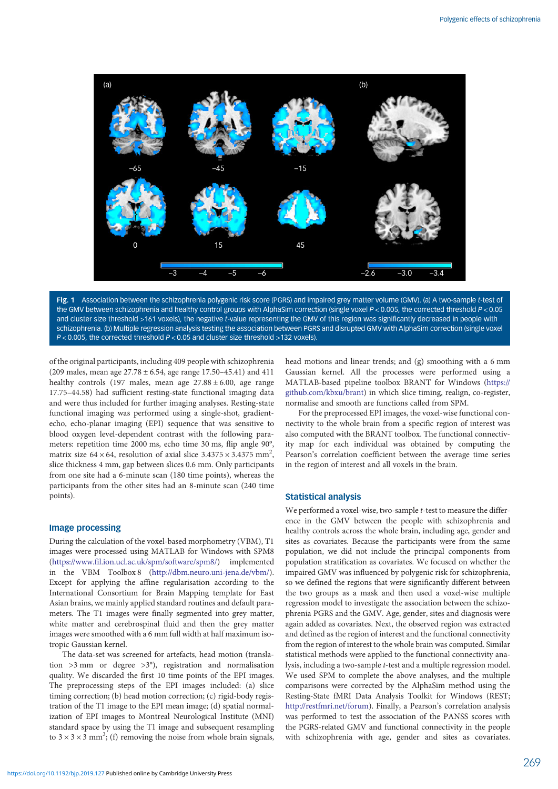<span id="page-2-0"></span>

Fig. 1 Association between the schizophrenia polygenic risk score (PGRS) and impaired grey matter volume (GMV). (a) A two-sample t-test of the GMV between schizophrenia and healthy control groups with AlphaSim correction (single voxel P < 0.005, the corrected threshold P < 0.05 and cluster size threshold >161 voxels), the negative t-value representing the GMV of this region was significantly decreased in people with schizophrenia. (b) Multiple regression analysis testing the association between PGRS and disrupted GMV with AlphaSim correction (single voxel  $P < 0.005$ , the corrected threshold  $P < 0.05$  and cluster size threshold >132 voxels).

of the original participants, including 409 people with schizophrenia (209 males, mean age 27.78 ± 6.54, age range 17.50–45.41) and 411 healthy controls (197 males, mean age  $27.88 \pm 6.00$ , age range 17.75–44.58) had sufficient resting-state functional imaging data and were thus included for further imaging analyses. Resting-state functional imaging was performed using a single-shot, gradientecho, echo-planar imaging (EPI) sequence that was sensitive to blood oxygen level-dependent contrast with the following parameters: repetition time 2000 ms, echo time 30 ms, flip angle 90°, matrix size  $64 \times 64$ , resolution of axial slice  $3.4375 \times 3.4375$  mm<sup>2</sup>, slice thickness 4 mm, gap between slices 0.6 mm. Only participants from one site had a 6-minute scan (180 time points), whereas the participants from the other sites had an 8-minute scan (240 time points).

# Image processing

During the calculation of the voxel-based morphometry (VBM), T1 images were processed using MATLAB for Windows with SPM8 ([https://www.fil.ion.ucl.ac.uk/spm/software/spm8/\)](https://www.fil.ion.ucl.ac.uk/spm/software/spm8/) implemented in the VBM Toolbox 8 [\(http://dbm.neuro.uni-jena.de/vbm/](http://dbm.neuro.uni-jena.de/vbm/)). Except for applying the affine regularisation according to the International Consortium for Brain Mapping template for East Asian brains, we mainly applied standard routines and default parameters. The T1 images were finally segmented into grey matter, white matter and cerebrospinal fluid and then the grey matter images were smoothed with a 6 mm full width at half maximum isotropic Gaussian kernel.

The data-set was screened for artefacts, head motion (translation >3 mm or degree >3°), registration and normalisation quality. We discarded the first 10 time points of the EPI images. The preprocessing steps of the EPI images included: (a) slice timing correction; (b) head motion correction; (c) rigid-body registration of the T1 image to the EPI mean image; (d) spatial normalization of EPI images to Montreal Neurological Institute (MNI) standard space by using the T1 image and subsequent resampling to  $3 \times 3 \times 3$  mm<sup>3</sup>; (f) removing the noise from whole brain signals,

head motions and linear trends; and (g) smoothing with a 6 mm Gaussian kernel. All the processes were performed using a MATLAB-based pipeline toolbox BRANT for Windows [\(https://](https://github.com/kbxu/brant) [github.com/kbxu/brant](https://github.com/kbxu/brant)) in which slice timing, realign, co-register, normalise and smooth are functions called from SPM.

For the preprocessed EPI images, the voxel-wise functional connectivity to the whole brain from a specific region of interest was also computed with the BRANT toolbox. The functional connectivity map for each individual was obtained by computing the Pearson's correlation coefficient between the average time series in the region of interest and all voxels in the brain.

# Statistical analysis

We performed a voxel-wise, two-sample t-test to measure the difference in the GMV between the people with schizophrenia and healthy controls across the whole brain, including age, gender and sites as covariates. Because the participants were from the same population, we did not include the principal components from population stratification as covariates. We focused on whether the impaired GMV was influenced by polygenic risk for schizophrenia, so we defined the regions that were significantly different between the two groups as a mask and then used a voxel-wise multiple regression model to investigate the association between the schizophrenia PGRS and the GMV. Age, gender, sites and diagnosis were again added as covariates. Next, the observed region was extracted and defined as the region of interest and the functional connectivity from the region of interest to the whole brain was computed. Similar statistical methods were applied to the functional connectivity analysis, including a two-sample t-test and a multiple regression model. We used SPM to complete the above analyses, and the multiple comparisons were corrected by the AlphaSim method using the Resting-State fMRI Data Analysis Toolkit for Windows (REST; <http://restfmri.net/forum>). Finally, a Pearson's correlation analysis was performed to test the association of the PANSS scores with the PGRS-related GMV and functional connectivity in the people with schizophrenia with age, gender and sites as covariates.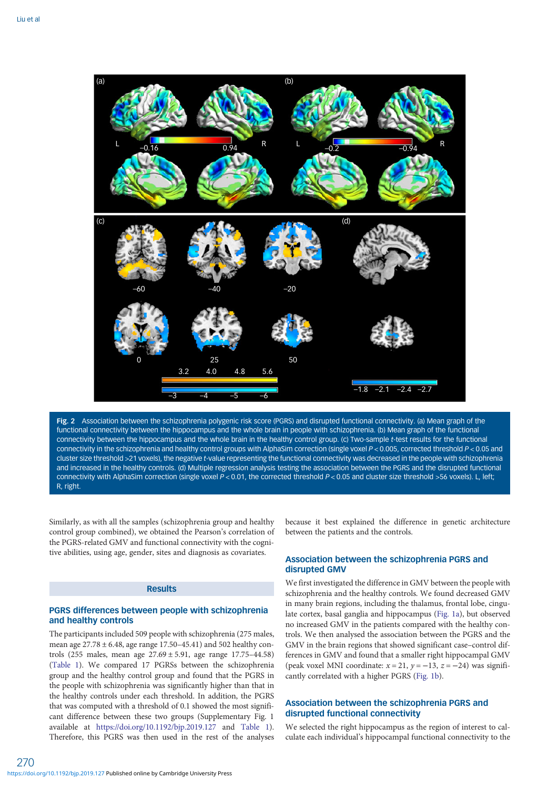<span id="page-3-0"></span>

Fig. 2 Association between the schizophrenia polygenic risk score (PGRS) and disrupted functional connectivity. (a) Mean graph of the functional connectivity between the hippocampus and the whole brain in people with schizophrenia. (b) Mean graph of the functional connectivity between the hippocampus and the whole brain in the healthy control group. (c) Two-sample t-test results for the functional connectivity in the schizophrenia and healthy control groups with AlphaSim correction (single voxel P < 0.005, corrected threshold P < 0.05 and cluster size threshold >21 voxels), the negative t-value representing the functional connectivity was decreased in the people with schizophrenia and increased in the healthy controls. (d) Multiple regression analysis testing the association between the PGRS and the disrupted functional connectivity with AlphaSim correction (single voxel P < 0.01, the corrected threshold P < 0.05 and cluster size threshold >56 voxels). L, left; R, right.

Similarly, as with all the samples (schizophrenia group and healthy control group combined), we obtained the Pearson's correlation of the PGRS-related GMV and functional connectivity with the cognitive abilities, using age, gender, sites and diagnosis as covariates.

# **Results**

# PGRS differences between people with schizophrenia and healthy controls

The participants included 509 people with schizophrenia (275 males, mean age 27.78 ± 6.48, age range 17.50–45.41) and 502 healthy controls (255 males, mean age  $27.69 \pm 5.91$ , age range 17.75–44.58) ([Table 1](#page-1-0)). We compared 17 PGRSs between the schizophrenia group and the healthy control group and found that the PGRS in the people with schizophrenia was significantly higher than that in the healthy controls under each threshold. In addition, the PGRS that was computed with a threshold of 0.1 showed the most significant difference between these two groups (Supplementary Fig. 1 available at <https://doi.org/10.1192/bjp.2019.127> and [Table 1](#page-1-0)). Therefore, this PGRS was then used in the rest of the analyses

because it best explained the difference in genetic architecture between the patients and the controls.

# Association between the schizophrenia PGRS and disrupted GMV

We first investigated the difference in GMV between the people with schizophrenia and the healthy controls. We found decreased GMV in many brain regions, including the thalamus, frontal lobe, cingulate cortex, basal ganglia and hippocampus [\(Fig. 1a](#page-2-0)), but observed no increased GMV in the patients compared with the healthy controls. We then analysed the association between the PGRS and the GMV in the brain regions that showed significant case–control differences in GMV and found that a smaller right hippocampal GMV (peak voxel MNI coordinate:  $x = 21$ ,  $y = -13$ ,  $z = -24$ ) was significantly correlated with a higher PGRS ([Fig. 1b](#page-2-0)).

# Association between the schizophrenia PGRS and disrupted functional connectivity

We selected the right hippocampus as the region of interest to calculate each individual's hippocampal functional connectivity to the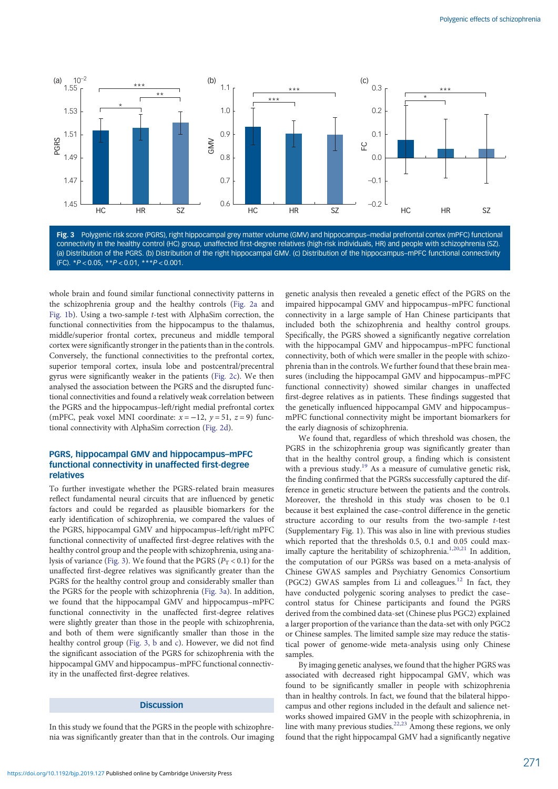



whole brain and found similar functional connectivity patterns in the schizophrenia group and the healthy controls ([Fig. 2a](#page-3-0) and [Fig. 1b\)](#page-2-0). Using a two-sample t-test with AlphaSim correction, the functional connectivities from the hippocampus to the thalamus, middle/superior frontal cortex, precuneus and middle temporal cortex were significantly stronger in the patients than in the controls. Conversely, the functional connectivities to the prefrontal cortex, superior temporal cortex, insula lobe and postcentral/precentral gyrus were significantly weaker in the patients [\(Fig. 2c\)](#page-3-0). We then analysed the association between the PGRS and the disrupted functional connectivities and found a relatively weak correlation between the PGRS and the hippocampus–left/right medial prefrontal cortex (mPFC, peak voxel MNI coordinate:  $x = -12$ ,  $y = 51$ ,  $z = 9$ ) functional connectivity with AlphaSim correction [\(Fig. 2d](#page-3-0)).

# PGRS, hippocampal GMV and hippocampus–mPFC functional connectivity in unaffected first-degree relatives

To further investigate whether the PGRS-related brain measures reflect fundamental neural circuits that are influenced by genetic factors and could be regarded as plausible biomarkers for the early identification of schizophrenia, we compared the values of the PGRS, hippocampal GMV and hippocampus–left/right mPFC functional connectivity of unaffected first-degree relatives with the healthy control group and the people with schizophrenia, using analysis of variance (Fig. 3). We found that the PGRS ( $P_T < 0.1$ ) for the unaffected first-degree relatives was significantly greater than the PGRS for the healthy control group and considerably smaller than the PGRS for the people with schizophrenia (Fig. 3a). In addition, we found that the hippocampal GMV and hippocampus–mPFC functional connectivity in the unaffected first-degree relatives were slightly greater than those in the people with schizophrenia, and both of them were significantly smaller than those in the healthy control group (Fig. 3, b and c). However, we did not find the significant association of the PGRS for schizophrenia with the hippocampal GMV and hippocampus–mPFC functional connectivity in the unaffected first-degree relatives.

# **Discussion**

In this study we found that the PGRS in the people with schizophrenia was significantly greater than that in the controls. Our imaging genetic analysis then revealed a genetic effect of the PGRS on the impaired hippocampal GMV and hippocampus–mPFC functional connectivity in a large sample of Han Chinese participants that included both the schizophrenia and healthy control groups. Specifically, the PGRS showed a significantly negative correlation with the hippocampal GMV and hippocampus–mPFC functional connectivity, both of which were smaller in the people with schizophrenia than in the controls. We further found that these brain measures (including the hippocampal GMV and hippocampus–mPFC functional connectivity) showed similar changes in unaffected first-degree relatives as in patients. These findings suggested that the genetically influenced hippocampal GMV and hippocampus– mPFC functional connectivity might be important biomarkers for the early diagnosis of schizophrenia.

We found that, regardless of which threshold was chosen, the PGRS in the schizophrenia group was significantly greater than that in the healthy control group, a finding which is consistent with a previous study.<sup>[19](#page-6-0)</sup> As a measure of cumulative genetic risk, the finding confirmed that the PGRSs successfully captured the difference in genetic structure between the patients and the controls. Moreover, the threshold in this study was chosen to be 0.1 because it best explained the case–control difference in the genetic structure according to our results from the two-sample t-test (Supplementary Fig. 1). This was also in line with previous studies which reported that the thresholds 0.5, 0.1 and 0.05 could maximally capture the heritability of schizophrenia. $1,20,21$  $1,20,21$  $1,20,21$  $1,20,21$  $1,20,21$  In addition, the computation of our PGRSs was based on a meta-analysis of Chinese GWAS samples and Psychiatry Genomics Consortium (PGC2) GWAS samples from Li and colleagues.<sup>[12](#page-6-0)</sup> In fact, they have conducted polygenic scoring analyses to predict the case– control status for Chinese participants and found the PGRS derived from the combined data-set (Chinese plus PGC2) explained a larger proportion of the variance than the data-set with only PGC2 or Chinese samples. The limited sample size may reduce the statistical power of genome-wide meta-analysis using only Chinese samples.

By imaging genetic analyses, we found that the higher PGRS was associated with decreased right hippocampal GMV, which was found to be significantly smaller in people with schizophrenia than in healthy controls. In fact, we found that the bilateral hippocampus and other regions included in the default and salience networks showed impaired GMV in the people with schizophrenia, in line with many previous studies.<sup>[22,23](#page-6-0)</sup> Among these regions, we only found that the right hippocampal GMV had a significantly negative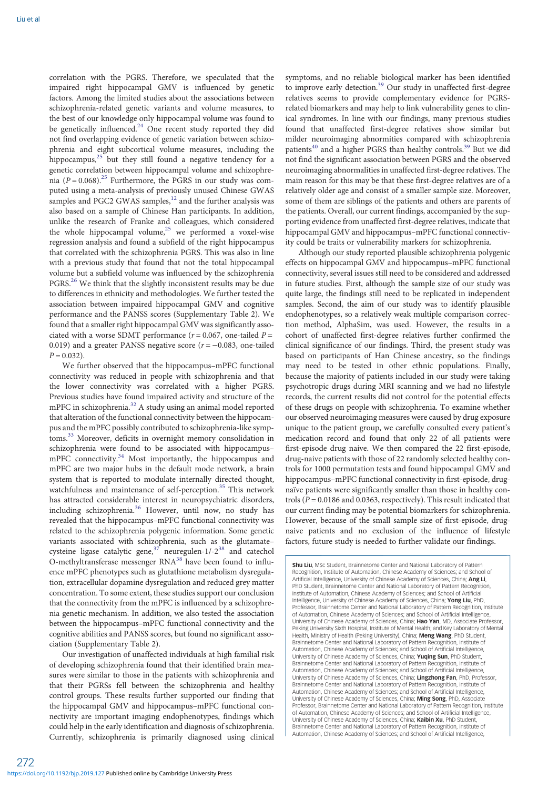correlation with the PGRS. Therefore, we speculated that the impaired right hippocampal GMV is influenced by genetic factors. Among the limited studies about the associations between schizophrenia-related genetic variants and volume measures, to the best of our knowledge only hippocampal volume was found to be genetically influenced.<sup>[24](#page-6-0)</sup> One recent study reported they did not find overlapping evidence of genetic variation between schizophrenia and eight subcortical volume measures, including the hippocampus, $25$  but they still found a negative tendency for a genetic correlation between hippocampal volume and schizophrenia ( $P = 0.068$ ).<sup>[25](#page-6-0)</sup> Furthermore, the PGRS in our study was computed using a meta-analysis of previously unused Chinese GWAS samples and PGC2 GWAS samples, $12$  and the further analysis was also based on a sample of Chinese Han participants. In addition, unlike the research of Franke and colleagues, which considered the whole hippocampal volume, $25$  we performed a voxel-wise regression analysis and found a subfield of the right hippocampus that correlated with the schizophrenia PGRS. This was also in line with a previous study that found that not the total hippocampal volume but a subfield volume was influenced by the schizophrenia PGRS.<sup>[26](#page-6-0)</sup> We think that the slightly inconsistent results may be due to differences in ethnicity and methodologies. We further tested the association between impaired hippocampal GMV and cognitive performance and the PANSS scores (Supplementary Table 2). We found that a smaller right hippocampal GMV was significantly associated with a worse SDMT performance ( $r = 0.067$ , one-tailed  $P =$ 0.019) and a greater PANSS negative score  $(r = -0.083, \text{ one-tailed})$  $P = 0.032$ ).

We further observed that the hippocampus–mPFC functional connectivity was reduced in people with schizophrenia and that the lower connectivity was correlated with a higher PGRS. Previous studies have found impaired activity and structure of the mPFC in schizophrenia.<sup>[32](#page-7-0)</sup> A study using an animal model reported that alteration of the functional connectivity between the hippocampus and the mPFC possibly contributed to schizophrenia-like symptoms.[33](#page-7-0) Moreover, deficits in overnight memory consolidation in schizophrenia were found to be associated with hippocampus– mPFC connectivity.<sup>[34](#page-7-0)</sup> Most importantly, the hippocampus and mPFC are two major hubs in the default mode network, a brain system that is reported to modulate internally directed thought, watchfulness and maintenance of self-perception.<sup>[35](#page-7-0)</sup> This network has attracted considerable interest in neuropsychiatric disorders, including schizophrenia.[36](#page-7-0) However, until now, no study has revealed that the hippocampus–mPFC functional connectivity was related to the schizophrenia polygenic information. Some genetic variants associated with schizophrenia, such as the glutamate– cysteine ligase catalytic gene,<sup>[37](#page-7-0)</sup> neuregulen-1/-2<sup>[38](#page-7-0)</sup> and catechol O-methyltransferase messenger RNA[38](#page-7-0) have been found to influence mPFC phenotypes such as glutathione metabolism dysregulation, extracellular dopamine dysregulation and reduced grey matter concentration. To some extent, these studies support our conclusion that the connectivity from the mPFC is influenced by a schizophrenia genetic mechanism. In addition, we also tested the association between the hippocampus–mPFC functional connectivity and the cognitive abilities and PANSS scores, but found no significant association (Supplementary Table 2).

Our investigation of unaffected individuals at high familial risk of developing schizophrenia found that their identified brain measures were similar to those in the patients with schizophrenia and that their PGRSs fell between the schizophrenia and healthy control groups. These results further supported our finding that the hippocampal GMV and hippocampus–mPFC functional connectivity are important imaging endophenotypes, findings which could help in the early identification and diagnosis of schizophrenia. Currently, schizophrenia is primarily diagnosed using clinical

symptoms, and no reliable biological marker has been identified to improve early detection.<sup>[39](#page-7-0)</sup> Our study in unaffected first-degree relatives seems to provide complementary evidence for PGRSrelated biomarkers and may help to link vulnerability genes to clinical syndromes. In line with our findings, many previous studies found that unaffected first-degree relatives show similar but milder neuroimaging abnormities compared with schizophrenia patients<sup>[40](#page-7-0)</sup> and a higher PGRS than healthy controls.<sup>39</sup> But we did not find the significant association between PGRS and the observed neuroimaging abnormalities in unaffected first-degree relatives. The main reason for this may be that these first-degree relatives are of a relatively older age and consist of a smaller sample size. Moreover, some of them are siblings of the patients and others are parents of the patients. Overall, our current findings, accompanied by the supporting evidence from unaffected first-degree relatives, indicate that hippocampal GMV and hippocampus–mPFC functional connectivity could be traits or vulnerability markers for schizophrenia.

Although our study reported plausible schizophrenia polygenic effects on hippocampal GMV and hippocampus–mPFC functional connectivity, several issues still need to be considered and addressed in future studies. First, although the sample size of our study was quite large, the findings still need to be replicated in independent samples. Second, the aim of our study was to identify plausible endophenotypes, so a relatively weak multiple comparison correction method, AlphaSim, was used. However, the results in a cohort of unaffected first-degree relatives further confirmed the clinical significance of our findings. Third, the present study was based on participants of Han Chinese ancestry, so the findings may need to be tested in other ethnic populations. Finally, because the majority of patients included in our study were taking psychotropic drugs during MRI scanning and we had no lifestyle records, the current results did not control for the potential effects of these drugs on people with schizophrenia. To examine whether our observed neuroimaging measures were caused by drug exposure unique to the patient group, we carefully consulted every patient's medication record and found that only 22 of all patients were first-episode drug naive. We then compared the 22 first-episode, drug-naive patients with those of 22 randomly selected healthy controls for 1000 permutation tests and found hippocampal GMV and hippocampus–mPFC functional connectivity in first-episode, drugnaïve patients were significantly smaller than those in healthy controls ( $P = 0.0186$  and 0.0363, respectively). This result indicated that our current finding may be potential biomarkers for schizophrenia. However, because of the small sample size of first-episode, drugnaive patients and no exclusion of the influence of lifestyle factors, future study is needed to further validate our findings.

Shu Liu, MSc Student, Brainnetome Center and National Laboratory of Pattern Recognition, Institute of Automation, Chinese Academy of Sciences; and School of Artificial Intelligence, University of Chinese Academy of Sciences, China; Ang Li, PhD Student, Brainnetome Center and National Laboratory of Pattern Recognition, Institute of Automation, Chinese Academy of Sciences; and School of Artificial<br>Intelligence, University of Chinese Academy of Sciences, China; **Yong Liu**, PhD, Professor, Brainnetome Center and National Laboratory of Pattern Recognition, Institute of Automation, Chinese Academy of Sciences; and School of Artificial Intelligence, University of Chinese Academy of Sciences, China: Hao Yan, MD, Associate Professor Peking University Sixth Hospital, Institute of Mental Health; and Key Laboratory of Mental Health, Ministry of Health (Peking University), China; Meng Wang, PhD Student Brainnetome Center and National Laboratory of Pattern Recognition, Institute of Automation, Chinese Academy of Sciences; and School of Artificial Intelligence, University of Chinese Academy of Sciences, China; Yuqing Sun, PhD Student, Brainnetome Center and National Laboratory of Pattern Recognition, Institute of Automation, Chinese Academy of Sciences; and School of Artificial Intelligence, University of Chinese Academy of Sciences, China; Lingzhong Fan, PhD, Professor, Brainnetome Center and National Laboratory of Pattern Recognition, Institute of Automation, Chinese Academy of Sciences; and School of Artificial Intelligence, University of Chinese Academy of Sciences, China; Ming Song, PhD, Associate Professor, Brainnetome Center and National Laboratory of Pattern Recognition, Institute of Automation, Chinese Academy of Sciences; and School of Artificial Intelligence, University of Chinese Academy of Sciences, China; Kaibin Xu, PhD Student Brainnetome Center and National Laboratory of Pattern Recognition, Institute of Automation, Chinese Academy of Sciences; and School of Artificial Intelligence,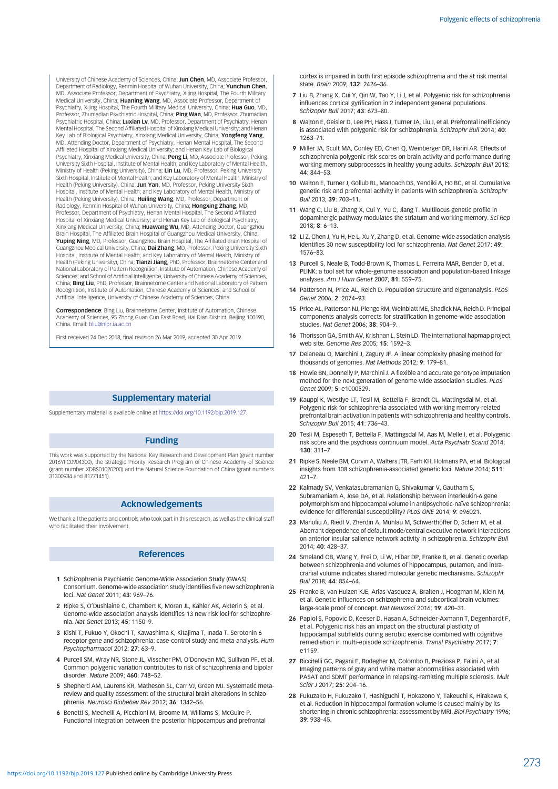<span id="page-6-0"></span>University of Chinese Academy of Sciences, China; Jun Chen, MD, Associate Professor, Department of Radiology, Renmin Hospital of Wuhan University, China; Yunchun Chen, MD, Associate Professor, Department of Psychiatry, Xijing Hospital, The Fourth Military<br>Medical University, China; **Huaning Wang**, MD, Associate Professor, Department of Psychiatry, Xijing Hospital, The Fourth Military Medical University, China; Hua Guo, MD, Professor, Zhumadian Psychiatric Hospital, China; **Ping Wan**, MD, Professor, Zhumadian<br>Psychiatric Hospital, China; **Luxian Lv**, MD, Professor, Department of Psychiatry, Henan Mental Hospital, The Second Affiliated Hospital of Xinxiang Medical University; and Henan Key Lab of Biological Psychiatry, Xinxiang Medical University, China; **Yongfeng Yang**,<br>MD, Attending Doctor, Department of Psychiatry, Henan Mental Hospital, The Second Affiliated Hospital of Xinxiang Medical University; and Henan Key Lab of Biological Psychiatry, Xinxiang Medical University, China; **Peng Li**, MD, Associate Professor, Peking<br>University Sixth Hospital, Institute of Mental Health; and Key Laboratory of Mental Health, Ministry of Health (Peking University), China; Lin Lu, MD, Professor, Peking University Sixth Hospital, Institute of Mental Health; and Key Laboratory of Mental Health, Ministry of<br>Health (Peking University), China; **Jun Yan**, MD, Professor, Peking University Sixth Hospital, Institute of Mental Health; and Key Laboratory of Mental Health, Ministry of Health (Peking University), China; Huiling Wang, MD, Professor, Department of Radiology, Renmin Hospital of Wuhan University, China; **Hongxing Zhang**, MD,<br>Professor, Department of Psychiatry, Henan Mental Hospital, The Second Affiliated Hospital of Xinxiang Medical University; and Henan Key Lab of Biological Psychiatry, Xinxiang Medical University, China; Huawang Wu, MD, Attending Doctor, Guangzhou Brain Hospital, The Affiliated Brain Hospital of Guangzhou Medical University, China; **Yuping Ning**, MD, Professor, Guangzhou Brain Hospital, The Affiliated Brain Hospital of<br>Guangzhou Medical University, China; **Dai Zhang**, MD, Professor, Peking University Sixth Hospital, Institute of Mental Health; and Key Laboratory of Mental Health, Ministry of Health (Peking University), China; Tianzi Jiang, PhD, Professor, Brainnetome Center and National Laboratory of Pattern Recognition, Institute of Automation, Chinese Academy of Sciences; and School of Artificial Intelligence, University of Chinese Academy of Sciences, China; Bing Liu, PhD, Professor, Brainnetome Center and National Laboratory of Pattern Recognition, Institute of Automation, Chinese Academy of Sciences; and School of Artificial Intelligence, University of Chinese Academy of Sciences, China

Correspondence: Bing Liu, Brainnetome Center, Institute of Automation, Chinese Academy of Sciences, 95 Zhong Guan Cun East Road, Hai Dian District, Beijing 100190, China. Email: [bliu@nlpr.ia.ac.cn](mailto:bliu@nlpr.ia.ac.cn)

First received 24 Dec 2018, final revision 26 Mar 2019, accepted 30 Apr 2019

## Supplementary material

Supplementary material is available online at <https://doi.org/10.1192/bjp.2019.127>.

#### Funding

This work was supported by the National Key Research and Development Plan (grant number 2016YFC0904300), the Strategic Priority Research Program of Chinese Academy of Science (grant number XDBS01020200) and the Natural Science Foundation of China (grant numbers 31300934 and 81771451).

#### Acknowledgements

We thank all the patients and controls who took part in this research, as well as the clinical staff who facilitated their involvement.

#### References

- 1 Schizophrenia Psychiatric Genome-Wide Association Study (GWAS) Consortium. Genome-wide association study identifies five new schizophrenia loci. Nat Genet 2011; 43: 969–76.
- 2 Ripke S, O'Dushlaine C, Chambert K, Moran JL, Kähler AK, Akterin S, et al. Genome-wide association analysis identifies 13 new risk loci for schizophrenia. Nat Genet 2013; 45: 1150–9.
- 3 Kishi T, Fukuo Y, Okochi T, Kawashima K, Kitajima T, Inada T. Serotonin 6 receptor gene and schizophrenia: case-control study and meta-analysis. Hum Psychopharmacol 2012; 27: 63–9.
- 4 Purcell SM, Wray NR, Stone JL, Visscher PM, O'Donovan MC, Sullivan PF, et al. Common polygenic variation contributes to risk of schizophrenia and bipolar disorder. Nature 2009; 460: 748–52.
- 5 Shepherd AM, Laurens KR, Matheson SL, Carr VJ, Green MJ. Systematic metareview and quality assessment of the structural brain alterations in schizophrenia. Neurosci Biobehav Rev 2012; 36: 1342–56.
- 6 Benetti S, Mechelli A, Picchioni M, Broome M, Williams S, McGuire P. Functional integration between the posterior hippocampus and prefrontal

cortex is impaired in both first episode schizophrenia and the at risk mental state. Brain 2009; 132: 2426-36.

- 7 Liu B, Zhang X, Cui Y, Qin W, Tao Y, Li J, et al. Polygenic risk for schizophrenia influences cortical gyrification in 2 independent general populations. Schizophr Bull 2017; 43: 673–80.
- 8 Walton E, Geisler D, Lee PH, Hass J, Turner JA, Liu J, et al. Prefrontal inefficiency is associated with polygenic risk for schizophrenia. Schizophr Bull 2014; 40: 1263–71.
- 9 Miller JA, Scult MA, Conley ED, Chen Q, Weinberger DR, Hariri AR. Effects of schizophrenia polygenic risk scores on brain activity and performance during working memory subprocesses in healthy young adults. Schizophr Bull 2018; 44: 844–53.
- 10 Walton E, Turner J, Gollub RL, Manoach DS, Yendiki A, Ho BC, et al. Cumulative genetic risk and prefrontal activity in patients with schizophrenia. Schizophr Bull 2013; 39: 703–11.
- 11 Wang C, Liu B, Zhang X, Cui Y, Yu C, Jiang T. Multilocus genetic profile in dopaminergic pathway modulates the striatum and working memory. Sci Rep 2018; 8: 6–13.
- 12 Li Z, Chen J, Yu H, He L, Xu Y, Zhang D, et al. Genome-wide association analysis identifies 30 new susceptibility loci for schizophrenia. Nat Genet 2017; 49: 1576–83.
- 13 Purcell S, Neale B, Todd-Brown K, Thomas L, Ferreira MAR, Bender D, et al. PLINK: a tool set for whole-genome association and population-based linkage analyses. Am J Hum Genet 2007; 81: 559–75.
- 14 Patterson N, Price AL, Reich D, Population structure and eigenanalysis, PLoS Genet 2006; 2: 2074–93.
- 15 Price AL, Patterson NJ, Plenge RM, Weinblatt ME, Shadick NA, Reich D. Principal components analysis corrects for stratification in genome-wide association studies. Nat Genet 2006; 38: 904–9.
- 16 Thorisson GA, Smith AV, Krishnan L, Stein LD. The international hapmap project web site. Genome Res 2005; 15: 1592–3.
- 17 Delaneau O, Marchini J, Zagury JF. A linear complexity phasing method for thousands of genomes. Nat Methods 2012; 9: 179–81.
- 18 Howie BN, Donnelly P, Marchini J. A flexible and accurate genotype imputation method for the next generation of genome-wide association studies. PLoS Genet 2009; 5: e1000529.
- 19 Kauppi K, Westlye LT, Tesli M, Bettella F, Brandt CL, Mattingsdal M, et al. Polygenic risk for schizophrenia associated with working memory-related prefrontal brain activation in patients with schizophrenia and healthy controls. .<br>Schizophr Bull 2015: **41**: 736–43.
- 20 Tesli M, Espeseth T, Bettella F, Mattingsdal M, Aas M, Melle I, et al. Polygenic risk score and the psychosis continuum model. Acta Psychiatr Scand 2014; 130: 311–7.
- 21 Ripke S, Neale BM, Corvin A, Walters JTR, Farh KH, Holmans PA, et al. Biological insights from 108 schizophrenia-associated genetic loci. Nature 2014; 511: 421–7.
- 22 Kalmady SV, Venkatasubramanian G, Shivakumar V, Gautham S, Subramaniam A, Jose DA, et al. Relationship between interleukin-6 gene polymorphism and hippocampal volume in antipsychotic-naïve schizophrenia: evidence for differential susceptibility? PLoS ONE 2014; 9: e96021.
- 23 Manoliu A, Riedl V, Zherdin A, Mühlau M, Schwerthöffer D, Scherr M, et al. Aberrant dependence of default mode/central executive network interactions on anterior insular salience network activity in schizophrenia. Schizophr Bull 2014; 40: 428–37.
- 24 Smeland OB, Wang Y, Frei O, Li W, Hibar DP, Franke B, et al. Genetic overlap between schizophrenia and volumes of hippocampus, putamen, and intracranial volume indicates shared molecular genetic mechanisms. Schizophr Bull 2018; 44: 854–64.
- 25 Franke B, van Hulzen KJE, Arias-Vasquez A, Bralten J, Hoogman M, Klein M, et al. Genetic influences on schizophrenia and subcortical brain volumes: large-scale proof of concept. Nat Neurosci 2016; 19: 420–31.
- 26 Papiol S, Popovic D, Keeser D, Hasan A, Schneider-Axmann T, Degenhardt F, et al. Polygenic risk has an impact on the structural plasticity of hippocampal subfields during aerobic exercise combined with cognitive remediation in multi-episode schizophrenia. Transl Psychiatry 2017; 7: e1159.
- 27 Riccitelli GC, Pagani E, Rodegher M, Colombo B, Preziosa P, Falini A, et al. Imaging patterns of gray and white matter abnormalities associated with PASAT and SDMT performance in relapsing-remitting multiple sclerosis. Mult Scler J 2017; 25: 204–16.
- 28 Fukuzako H, Fukuzako T, Hashiguchi T, Hokazono Y, Takeuchi K, Hirakawa K, et al. Reduction in hippocampal formation volume is caused mainly by its shortening in chronic schizophrenia: assessment by MRI. Biol Psychiatry 1996; 39: 938–45.